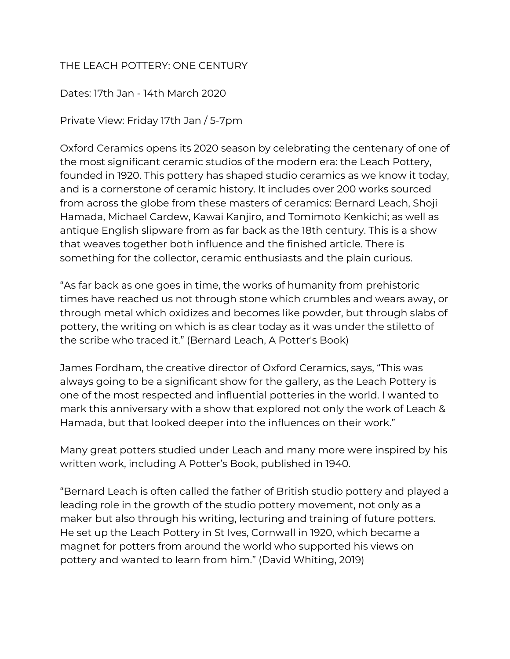## THE LEACH POTTERY: ONE CENTURY

Dates: 17th Jan - 14th March 2020

Private View: Friday 17th Jan / 5-7pm

Oxford Ceramics opens its 2020 season by celebrating the centenary of one of the most significant ceramic studios of the modern era: the Leach Pottery, founded in 1920. This pottery has shaped studio ceramics as we know it today, and is a cornerstone of ceramic history. It includes over 200 works sourced from across the globe from these masters of ceramics: Bernard Leach, Shoji Hamada, Michael Cardew, Kawai Kanjiro, and Tomimoto Kenkichi; as well as antique English slipware from as far back as the 18th century. This is a show that weaves together both influence and the finished article. There is something for the collector, ceramic enthusiasts and the plain curious.

"As far back as one goes in time, the works of humanity from prehistoric times have reached us not through stone which crumbles and wears away, or through metal which oxidizes and becomes like powder, but through slabs of pottery, the writing on which is as clear today as it was under the stiletto of the scribe who traced it." (Bernard Leach, A Potter's Book)

James Fordham, the creative director of Oxford Ceramics, says, "This was always going to be a significant show for the gallery, as the Leach Pottery is one of the most respected and influential potteries in the world. I wanted to mark this anniversary with a show that explored not only the work of Leach & Hamada, but that looked deeper into the influences on their work."

Many great potters studied under Leach and many more were inspired by his written work, including A Potter's Book, published in 1940.

"Bernard Leach is often called the father of British studio pottery and played a leading role in the growth of the studio pottery movement, not only as a maker but also through his writing, lecturing and training of future potters. He set up the Leach Pottery in St Ives, Cornwall in 1920, which became a magnet for potters from around the world who supported his views on pottery and wanted to learn from him." (David Whiting, 2019)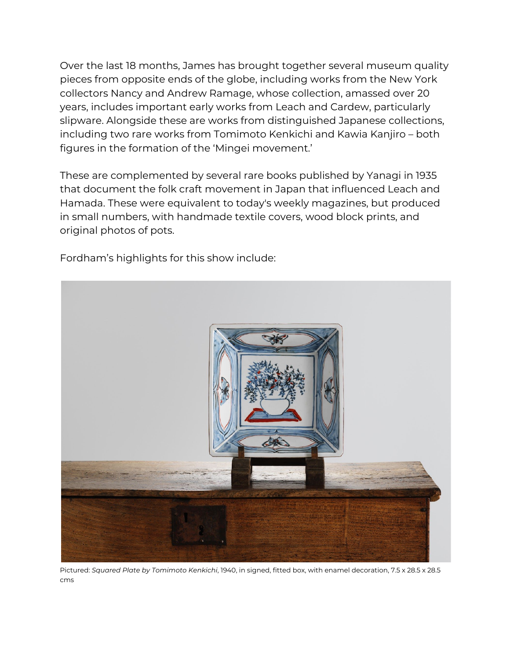Over the last 18 months, James has brought together several museum quality pieces from opposite ends of the globe, including works from the New York collectors Nancy and Andrew Ramage, whose collection, amassed over 20 years, includes important early works from Leach and Cardew, particularly slipware. Alongside these are works from distinguished Japanese collections, including two rare works from Tomimoto Kenkichi and Kawia Kanjiro – both figures in the formation of the 'Mingei movement.'

These are complemented by several rare books published by Yanagi in 1935 that document the folk craft movement in Japan that influenced Leach and Hamada. These were equivalent to today's weekly magazines, but produced in small numbers, with handmade textile covers, wood block prints, and original photos of pots.

Fordham's highlights for this show include:



Pictured: *Squared Plate by Tomimoto Kenkichi*, 1940, in signed, fitted box, with enamel decoration, 7.5 x 28.5 x 28.5 cms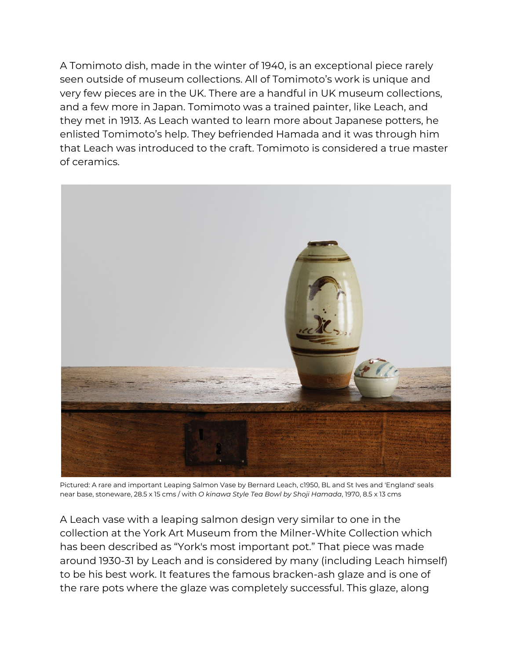A Tomimoto dish, made in the winter of 1940, is an exceptional piece rarely seen outside of museum collections. All of Tomimoto's work is unique and very few pieces are in the UK. There are a handful in UK museum collections, and a few more in Japan. Tomimoto was a trained painter, like Leach, and they met in 1913. As Leach wanted to learn more about Japanese potters, he enlisted Tomimoto's help. They befriended Hamada and it was through him that Leach was introduced to the craft. Tomimoto is considered a true master of ceramics.



Pictured: A rare and important Leaping Salmon Vase by Bernard Leach, c1950, BL and St Ives and 'England' seals near base, stoneware, 28.5 x 15 cms / with *O kinawa Style Tea Bowl by Shoji Hamada*, 1970, 8.5 x 13 cms

A Leach vase with a leaping salmon design very similar to one in the collection at the York Art Museum from the Milner-White Collection which has been described as "York's most important pot." That piece was made around 1930-31 by Leach and is considered by many (including Leach himself) to be his best work. It features the famous bracken-ash glaze and is one of the rare pots where the glaze was completely successful. This glaze, along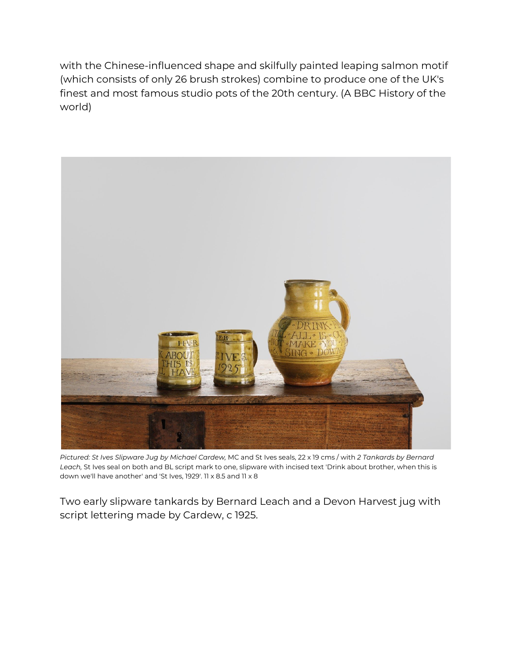with the Chinese-influenced shape and skilfully painted leaping salmon motif (which consists of only 26 brush strokes) combine to produce one of the UK's finest and most famous studio pots of the 20th century. (A BBC History of the world)



*Pictured: St Ives Slipware Jug by Michael Cardew,* MC and St Ives seals, 22 x 19 cms / with *2 Tankards by Bernard Leach,* St Ives seal on both and BL script mark to one, slipware with incised text 'Drink about brother, when this is down we'll have another' and 'St Ives, 1929'. 11 x 8.5 and 11 x 8

Two early slipware tankards by Bernard Leach and a Devon Harvest jug with script lettering made by Cardew, c 1925.